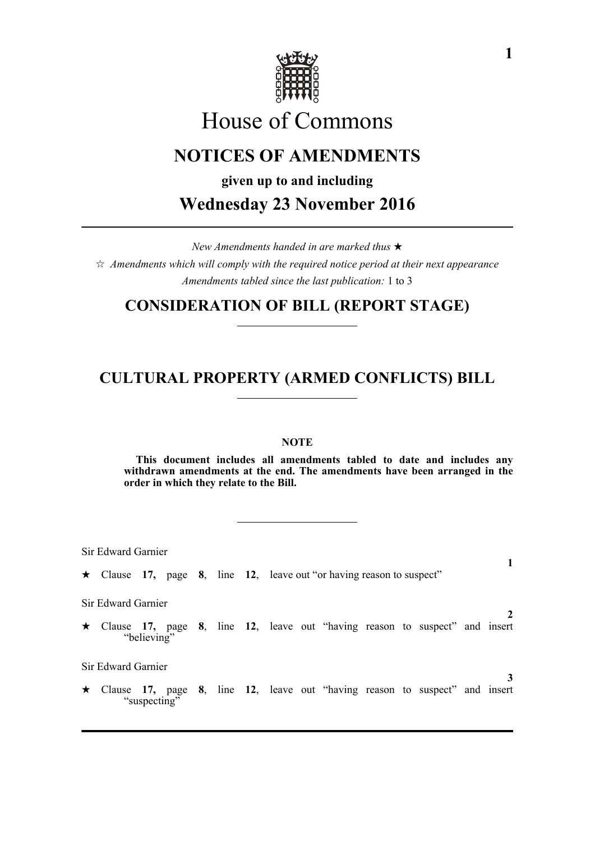

# House of Commons

# **NOTICES OF AMENDMENTS**

**given up to and including**

**Wednesday 23 November 2016**

*New Amendments handed in are marked thus*   $\hat{\varphi}$  Amendments which will comply with the required notice period at their next appearance *Amendments tabled since the last publication:* 1 to 3

### **CONSIDERATION OF BILL (REPORT STAGE)**

## **CULTURAL PROPERTY (ARMED CONFLICTS) BILL**

### **NOTE**

**This document includes all amendments tabled to date and includes any withdrawn amendments at the end. The amendments have been arranged in the order in which they relate to the Bill.**

Sir Edward Garnier

Clause **17,** page **8**, line **12**, leave out "or having reason to suspect"

Sir Edward Garnier

 Clause **17,** page **8**, line **12**, leave out "having reason to suspect" and insert "believing"

Sir Edward Garnier

 Clause **17,** page **8**, line **12**, leave out "having reason to suspect" and insert "suspecting"

**1**

**2**

**3**